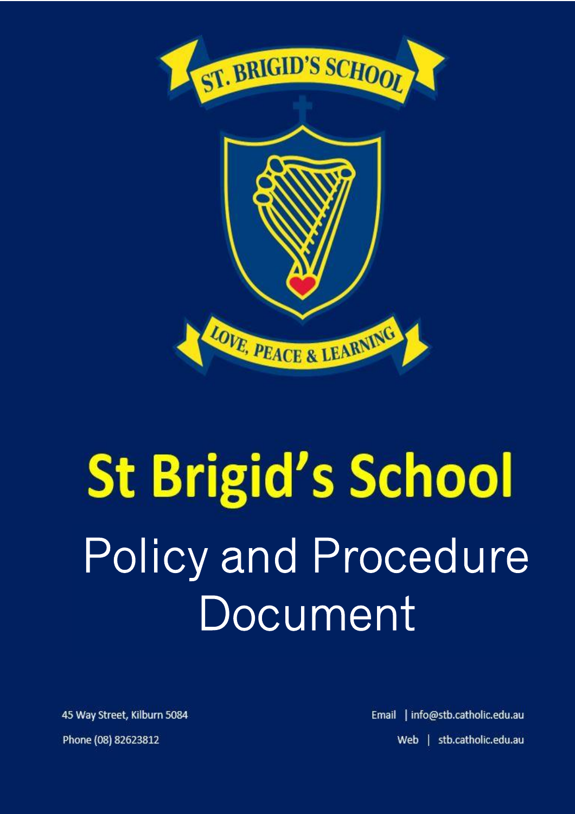

# **St Brigid's School** Policy and Procedure Document

45 Way Street, Kilburn 5084 Phone (08) 82623812

Email | info@stb.catholic.edu.au Web | stb.catholic.edu.au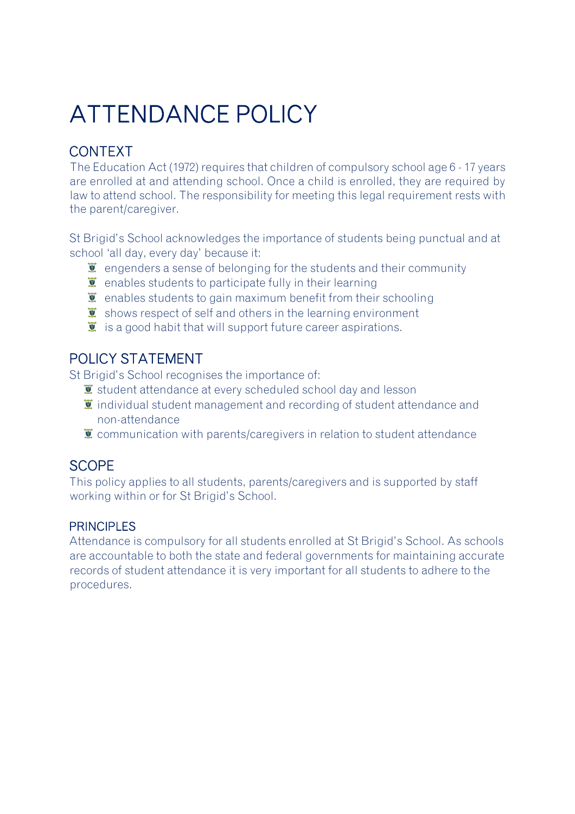# ATTENDANCE POLICY

# CONTEXT

The Education Act (1972) requires that children of compulsory school age 6 - 17 years are enrolled at and attending school. Once a child is enrolled, they are required by law to attend school. The responsibility for meeting this legal requirement rests with the parent/caregiver.

St Brigid's School acknowledges the importance of students being punctual and at school 'all day, every day' because it:

- $\bullet$  engenders a sense of belonging for the students and their community
- $\ddot{\bullet}$  enables students to participate fully in their learning
- $\bullet$  enables students to gain maximum benefit from their schooling
- $\bullet$  shows respect of self and others in the learning environment
- $\ddot{\mathbf{I}}$  is a good habit that will support future career aspirations.

## POLICY STATEMENT

St Brigid's School recognises the importance of:

- $\mathbf{\Sigma}$  student attendance at every scheduled school day and lesson
- $\ddot{\mathbf{I}}$  individual student management and recording of student attendance and non-attendance
- $\ddot{\mathbf{z}}$  communication with parents/caregivers in relation to student attendance

## **SCOPE**

This policy applies to all students, parents/caregivers and is supported by staff working within or for St Brigid's School.

#### PRINCIPLES

Attendance is compulsory for all students enrolled at St Brigid's School. As schools are accountable to both the state and federal governments for maintaining accurate records of student attendance it is very important for all students to adhere to the procedures.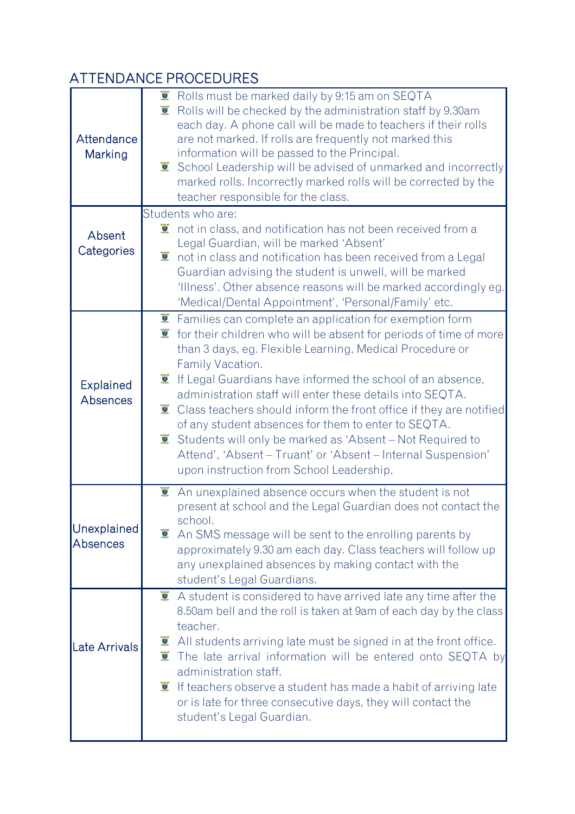# ATTENDANCE PROCEDURES

| Attendance<br>Marking               | $\overline{2}$<br>Rolls must be marked daily by 9:15 am on SEQTA<br>$\overline{v}$<br>Rolls will be checked by the administration staff by 9.30am<br>each day. A phone call will be made to teachers if their rolls<br>are not marked. If rolls are frequently not marked this<br>information will be passed to the Principal.<br>School Leadership will be advised of unmarked and incorrectly<br>$\overline{a}$<br>marked rolls. Incorrectly marked rolls will be corrected by the<br>teacher responsible for the class.                                                                                                                                                                                                                     |
|-------------------------------------|------------------------------------------------------------------------------------------------------------------------------------------------------------------------------------------------------------------------------------------------------------------------------------------------------------------------------------------------------------------------------------------------------------------------------------------------------------------------------------------------------------------------------------------------------------------------------------------------------------------------------------------------------------------------------------------------------------------------------------------------|
| Absent<br>Categories                | Students who are:<br>$\ddot{\bullet}$ not in class, and notification has not been received from a<br>Legal Guardian, will be marked 'Absent'<br>$\overline{v}$<br>not in class and notification has been received from a Legal<br>Guardian advising the student is unwell, will be marked<br>'Illness'. Other absence reasons will be marked accordingly eg.<br>'Medical/Dental Appointment', 'Personal/Family' etc.                                                                                                                                                                                                                                                                                                                           |
| <b>Explained</b><br><b>Absences</b> | $\bullet$ Families can complete an application for exemption form<br>$\overline{\bullet}$<br>for their children who will be absent for periods of time of more<br>than 3 days, eg. Flexible Learning, Medical Procedure or<br>Family Vacation.<br>$\overline{2}$<br>If Legal Guardians have informed the school of an absence,<br>administration staff will enter these details into SEQTA.<br>$\overline{\mathbf{y}}$<br>Class teachers should inform the front office if they are notified<br>of any student absences for them to enter to SEQTA.<br>Students will only be marked as 'Absent - Not Required to<br>$\overline{2}$<br>Attend', 'Absent – Truant' or 'Absent – Internal Suspension'<br>upon instruction from School Leadership. |
| <b>Unexplained</b><br>Absences      | An unexplained absence occurs when the student is not<br>$\overline{v}$<br>present at school and the Legal Guardian does not contact the<br>school.<br>$\overline{u}$<br>An SMS message will be sent to the enrolling parents by<br>approximately 9.30 am each day. Class teachers will follow up<br>any unexplained absences by making contact with the<br>student's Legal Guardians.                                                                                                                                                                                                                                                                                                                                                         |
| Late Arrivals                       | $\overline{2}$<br>A student is considered to have arrived late any time after the<br>8.50am bell and the roll is taken at 9am of each day by the class<br>teacher.<br>All students arriving late must be signed in at the front office.<br>$\overline{\mathbf{Q}}$<br>$\overline{g}$<br>The late arrival information will be entered onto SEQTA by<br>administration staff.<br>$\overline{v}$<br>If teachers observe a student has made a habit of arriving late<br>or is late for three consecutive days, they will contact the<br>student's Legal Guardian.                                                                                                                                                                                  |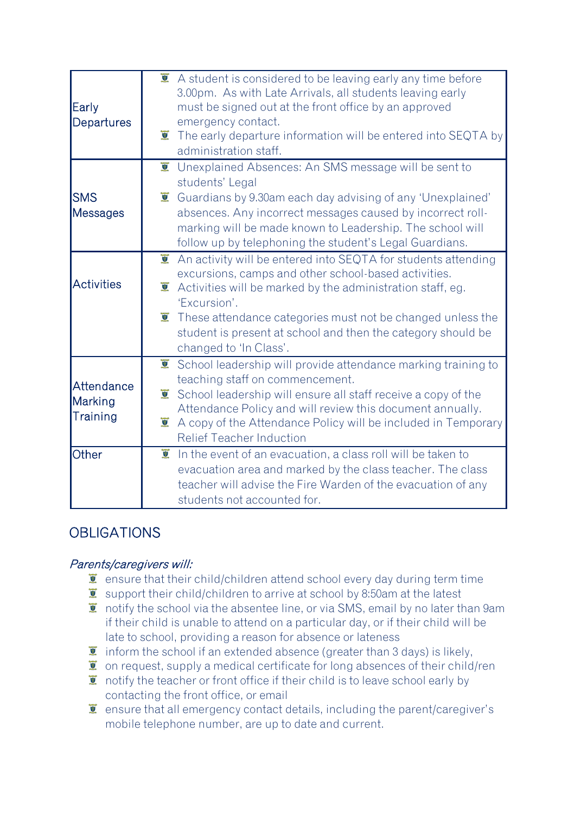| Early<br>Departures               | $\bullet$ A student is considered to be leaving early any time before<br>3.00pm. As with Late Arrivals, all students leaving early<br>must be signed out at the front office by an approved<br>emergency contact.<br>$\overline{v}$<br>The early departure information will be entered into SEQTA by<br>administration staff.                                                                                       |
|-----------------------------------|---------------------------------------------------------------------------------------------------------------------------------------------------------------------------------------------------------------------------------------------------------------------------------------------------------------------------------------------------------------------------------------------------------------------|
| SMS<br>Messages                   | $\overline{S}$<br>Unexplained Absences: An SMS message will be sent to<br>students' Legal<br>$\bullet$ Guardians by 9.30am each day advising of any 'Unexplained'<br>absences. Any incorrect messages caused by incorrect roll-<br>marking will be made known to Leadership. The school will<br>follow up by telephoning the student's Legal Guardians.                                                             |
| <b>Activities</b>                 | $\overline{g}$<br>An activity will be entered into SEQTA for students attending<br>excursions, camps and other school-based activities.<br>Activities will be marked by the administration staff, eg.<br>$\overline{y}$<br>'Excursion'.<br>$\ddot{\mathbf{I}}$ These attendance categories must not be changed unless the<br>student is present at school and then the category should be<br>changed to 'In Class'. |
| Attendance<br>Marking<br>Training | $\overline{y}$<br>School leadership will provide attendance marking training to<br>teaching staff on commencement.<br>$\overline{y}$<br>School leadership will ensure all staff receive a copy of the<br>Attendance Policy and will review this document annually.<br>A copy of the Attendance Policy will be included in Temporary<br><b>Relief Teacher Induction</b>                                              |
| Other                             | $\overline{S}$<br>In the event of an evacuation, a class roll will be taken to<br>evacuation area and marked by the class teacher. The class<br>teacher will advise the Fire Warden of the evacuation of any<br>students not accounted for.                                                                                                                                                                         |

# **OBLIGATIONS**

#### Parents/caregivers will:

- $\bullet$  ensure that their child/children attend school every day during term time
- support their child/children to arrive at school by 8:50am at the latest
- T notify the school via the absentee line, or via SMS, email by no later than 9am if their child is unable to attend on a particular day, or if their child will be late to school, providing a reason for absence or lateness
- $\ddot{\mathbf{I}}$  inform the school if an extended absence (greater than 3 days) is likely,
- $\bullet$  on request, supply a medical certificate for long absences of their child/ren
- $\bullet$  notify the teacher or front office if their child is to leave school early by contacting the front office, or email
- $\bullet$  ensure that all emergency contact details, including the parent/caregiver's mobile telephone number, are up to date and current.